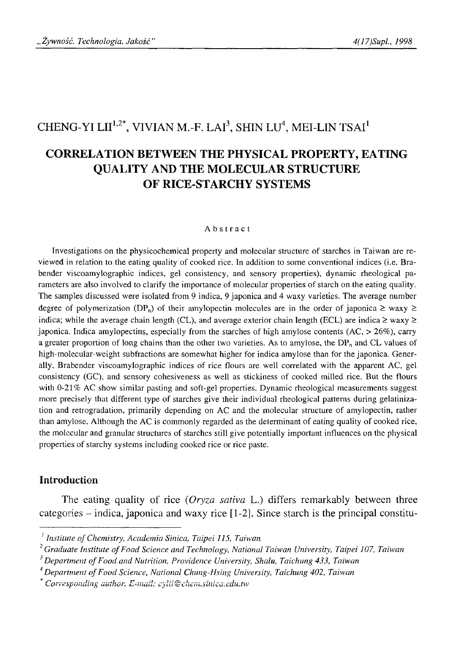# CHENG-YI LII<sup>1,2\*</sup>, VIVIAN M.-F. LAI<sup>3</sup>, SHIN LU<sup>4</sup>, MEI-LIN TSAI<sup>1</sup>

# **CORRELATION BETWEEN THE PHYSICAL PROPERTY, EATING QUALITY AND THE MOLECULAR STRUCTURE OF RICE-STARCHY SYSTEMS**

#### **Abstract**

Investigations on the physicochemical property and molecular structure of starches in Taiwan are reviewed in relation to the eating quality of cooked rice. In addition to some conventional indices (i.e. Brabender viscoamylographic indices, gel consistency, and sensory properties), dynamic rheological parameters are also involved to clarify the importance of molecular properties of starch on the eating quality. The samples discussed were isolated from 9 indica, 9 japonica and 4 waxy varieties. The average number degree of polymerization (DP<sub>n</sub>) of their amylopectin molecules are in the order of japonica  $\geq$  waxy  $\geq$ indica; while the average chain length (CL), and average exterior chain length (ECL) are indica  $\geq$  waxy  $\geq$ japonica. Indica amylopectins, especially from the starches of high amylose contents  $(AC, > 26\%)$ , carry a greater proportion of long chains than the other two varieties. As to amylose, the  $DP_n$  and CL values of high-molecular-weight subfractions are somewhat higher for indica amylose than for the japonica. Generally, Brabender viscoamylographic indices of rice flours are well correlated with the apparent AC, gel consistency (GC), and sensory cohesiveness as well as stickiness of cooked milled rice. But the flours with 0-21% AC show similar pasting and soft-gel properties. Dynamic rheological measurements suggest more precisely that different type of starches give their individual rheological patterns during gelatinization and retrogradation, primarily depending on AC and the molecular structure of amylopectin, rather than amylose. Although the AC is commonly regarded as the determinant of eating quality of cooked rice, the molecular and granular structures of starches still give potentially important influences on the physical properties of starchy systems including cooked rice or rice paste.

### **Introduction**

The eating quality of rice (*Oryza sativa* L.) differs remarkably between three categories - indica, japonica and waxy rice [1-2]. Since starch is the principal constitu-

*<sup>1</sup> Institute of Chemistry*, *Academia Sinica, Taipei 115, Taiwan*

*Graduate Institute of Food Science and Technology, National Taiwan University, Taipei 107, Taiwan*

<sup>&</sup>lt;sup>3</sup> Department of Food and Nutrition, Providence University, Shalu, Taichung 433, Taiwan

<sup>&</sup>lt;sup>4</sup> Department of Food Science, National Chung-Hsing University, Taichung 402, Taiwan

*Corresponding author.* /> - *a* / ú *í*/.' *cyln@ cliem. suiica. edu.tw*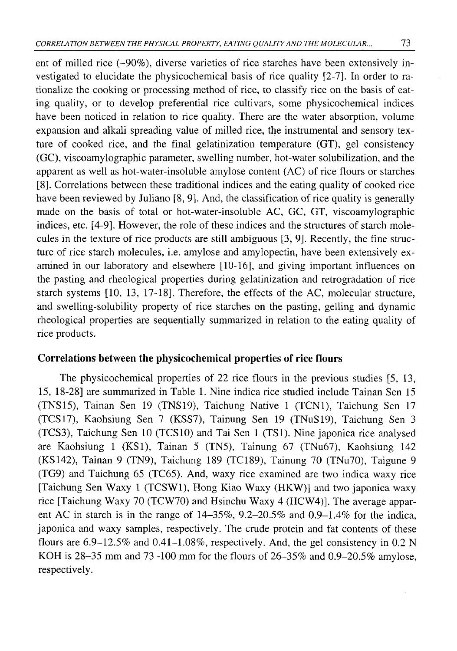ent of milled rice  $(-90\%)$ , diverse varieties of rice starches have been extensively investigated to elucidate the physicochemical basis of rice quality [2-7]. In order to rationalize the cooking or processing method of rice, to classify rice on the basis of eating quality, or to develop preferential rice cultivars, some physicochemical indices have been noticed in relation to rice quality. There are the water absorption, volume expansion and alkali spreading value of milled rice, the instrumental and sensory texture of cooked rice, and the final gelatinization temperature (GT), gel consistency (GC), viscoamylographic parameter, swelling number, hot-water solubilization, and the apparent as well as hot-water-insoluble amylose content (AC) of rice flours or starches [8 ]. Correlations between these traditional indices and the eating quality of cooked rice have been reviewed by Juliano [8, 9]. And, the classification of rice quality is generally made on the basis of total or hot-water-insoluble AC, GC, GT, viscoamylographic indices, etc. [4-9]. However, the role of these indices and the structures of starch molecules in the texture of rice products are still ambiguous [3, 9]. Recently, the fine structure of rice starch molecules, i.e. amylose and amylopectin, have been extensively examined in our laboratory and elsewhere [10-16], and giving important influences on the pasting and rheological properties during gelatinization and retrogradation of rice starch systems [10, 13, 17-18]. Therefore, the effects of the AC, molecular structure, and swelling-solubility property of rice starches on the pasting, gelling and dynamic rheological properties are sequentially summarized in relation to the eating quality of rice products.

### **Correlations between the physicochemical properties of rice flours**

The physicochemical properties of 22 rice flours in the previous studies [5, 13, 15, 18-28] are summarized in Table 1. Nine indica rice studied include Tainan Sen 15 (TNS15), Tainan Sen 19 (TNS19), Taichung Native 1 (TCN1), Taichung Sen 17 (TCS17), Kaohsiung Sen 7 (KSS7), Tainung Sen 19 (TNuS19), Taichung Sen 3 (TCS3), Taichung Sen 10 (TCS10) and Tai Sen 1 (TS1). Nine japonica rice analysed are Kaohsiung 1 (KS1), Tainan 5 (TN5), Tainung 67 (TNu67), Kaohsiung 142 (KS142), Tainan 9 (TN9), Taichung 189 (TC189), Tainung 70 (TNu70), Taigune 9 (TG9) and Taichung 65 (TC65). And, waxy rice examined are two indica waxy rice [Taichung Sen Waxy 1 (TCSW1), Hong Kiao Waxy (HKW)] and two japonica waxy rice [Taichung Waxy 70 (TCW70) and Hsinchu Waxy 4 (HCW4)]. The average apparent AC in starch is in the range of 14-35%, 9.2-20.5% and 0.9-1.4% for the indica, japonica and waxy samples, respectively. The crude protein and fat contents of these flours are 6.9-12.5% and 0.41-1.08%, respectively. And, the gel consistency in 0.2 N KOH is 28-35 mm and 73-100 mm for the flours of 26-35% and 0.9-20.5% amylose, respectively.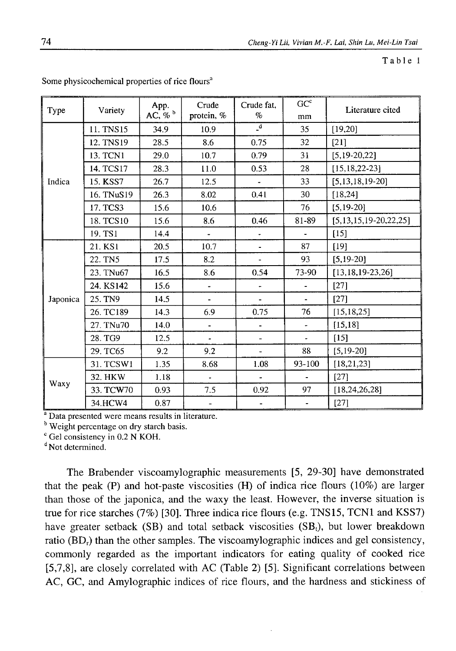Table 1

|          |            | App.             | Crude                    | Crude fat.                   | GC <sup>c</sup>          |                              |  |
|----------|------------|------------------|--------------------------|------------------------------|--------------------------|------------------------------|--|
| Type     | Variety    | AC, $\%$ $\circ$ | protein, %               | %                            | mm                       | Literature cited             |  |
|          | 11. TNS15  | 34.9             | 10.9                     | $\mathbf{a}$                 | 35                       | [19,20]                      |  |
| Indica   | 12. TNS19  | 28.5             | 8.6                      | 0.75                         | 32                       | $[21]$                       |  |
|          | 13. TCN1   | 29.0             | 10.7                     | 0.79                         | 31                       | $[5, 19-20, 22]$             |  |
|          | 14. TCS17  | 28.3             | 11.0                     | 0.53                         | 28                       | $[15, 18, 22 - 23]$          |  |
|          | 15. KSS7   | 26.7             | 12.5                     |                              | 33                       | [5, 13, 18, 19, 20]          |  |
|          | 16. TNuS19 | 26.3             | 8.02                     | 0.41                         | 30                       | [18, 24]                     |  |
|          | 17. TCS3   | 15.6             | 10.6                     |                              | 76                       | $[5, 19-20]$                 |  |
|          | 18. TCS10  | 15.6             | 8.6                      | 0.46                         | 81-89                    | $[5, 13, 15, 19-20, 22, 25]$ |  |
|          | 19. TS1    | 14.4             |                          | $\qquad \qquad \blacksquare$ |                          | $[15]$                       |  |
|          | 21. KS1    | 20.5             | 10.7                     | $\blacksquare$               | 87                       | [19]                         |  |
|          | 22. TN5    | 17.5             | 8.2                      | $\overline{\phantom{a}}$     | 93                       | $[5, 19-20]$                 |  |
|          | 23. TNu67  | 16.5             | 8.6                      | 0.54                         | 73-90                    | $[13, 18, 19 - 23, 26]$      |  |
|          | 24. KS142  | 15.6             | $\overline{\phantom{0}}$ |                              |                          | [27]                         |  |
| Japonica | 25. TN9    | 14.5             | $\overline{\phantom{a}}$ |                              |                          | [27]                         |  |
|          | 26. TC189  | 14.3             | 6.9                      | 0.75                         | 76                       | [15, 18, 25]                 |  |
|          | 27. TNu70  | 14.0             | ۰                        |                              | ÷.                       | [15, 18]                     |  |
|          | 28. TG9    | 12.5             | $\overline{\phantom{a}}$ | $\overline{\phantom{0}}$     | $\overline{\phantom{a}}$ | [15]                         |  |
|          | 29. TC65   | 9.2              | 9.2                      | u,                           | 88                       | $[5, 19-20]$                 |  |
|          | 31. TCSW1  | 1.35             | 8.68                     | 1.08                         | 93-100                   | [18, 21, 23]                 |  |
|          | 32. HKW    | 1.18             | $\overline{\phantom{a}}$ | $\blacksquare$               | $\overline{\phantom{a}}$ | $[27]$                       |  |
| Waxy     | 33. TCW70  | 0.93             | 7.5                      | 0.92                         | 97                       | [18, 24, 26, 28]             |  |
|          | 34.HCW4    | 0.87             | $\overline{\phantom{a}}$ | $\overline{\phantom{a}}$     | $\blacksquare$           | $[27]$                       |  |

Some physicochemical properties of rice flours"

<sup>a</sup> Data presented were means results in literature.

<sup>b</sup> Weight percentage on dry starch basis.

 $\degree$  Gel consistency in 0.2 N KOH.

<sup>d</sup> Not determined.

The Brabender viscoamylographic measurements [5, 29-30] have demonstrated that the peak  $(P)$  and hot-paste viscosities  $(H)$  of indica rice flours  $(10\%)$  are larger than those of the japonica, and the waxy the least. However, the inverse situation is true for rice starches (7%) [30]. Three indica rice flours (e.g. TNS15, TCN1 and KSS7) have greater setback (SB) and total setback viscosities (SB<sub>t</sub>), but lower breakdown ratio (BD<sub>r</sub>) than the other samples. The viscoamylographic indices and gel consistency, commonly regarded as the important indicators for eating quality of cooked rice [5,7,8], are closely correlated with AC (Table 2) [5]. Significant correlations between AC, GC, and Amylographic indices of rice flours, and the hardness and stickiness of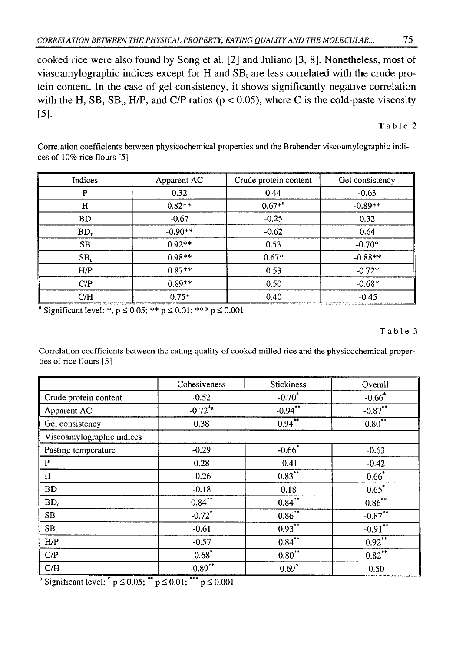cooked rice were also found by Song et al. [2] and Juliano [3, 8]. Nonetheless, most of viasoamylographic indices except for H and  $SB<sub>t</sub>$  are less correlated with the crude protein content. In the case of gel consistency, it shows significantly negative correlation with the H, SB, SB<sub>t</sub>, H/P, and C/P ratios ( $p < 0.05$ ), where C is the cold-paste viscosity [5]·

Table 2

Correlation coefficients between physicochemical properties and the Brabender viscoamylographic indices of 10% rice flours [5]

| Indices         | Apparent AC | Crude protein content | Gel consistency |
|-----------------|-------------|-----------------------|-----------------|
| P               | 0.32        | 0.44                  | $-0.63$         |
| н               | $0.82**$    | $0.67**$              | $-0.89**$       |
| <b>BD</b>       | $-0.67$     | $-0.25$               | 0.32            |
| $BD_r$          | $-0.90**$   | $-0.62$               | 0.64            |
| <b>SB</b>       | $0.92**$    | 0.53                  | $-0.70*$        |
| SB <sub>t</sub> | $0.98**$    | $0.67*$               | $-0.88**$       |
| H/P             | $0.87**$    | 0.53                  | $-0.72*$        |
| C/P             | $0.89**$    | 0.50                  | $-0.68*$        |
| C/H             | $0.75*$     | 0.40                  | $-0.45$         |

<sup>a</sup> Significant level: \*,  $p \le 0.05$ ; \*\*  $p \le 0.01$ ; \*\*\*  $p \le 0.001$ 

Table 3

Correlation coefficients between the eating quality of cooked milled rice and the physicochemical properties of rice flours [5]

|                           | Cohesiveness         | <b>Stickiness</b>     | Overall    |
|---------------------------|----------------------|-----------------------|------------|
| Crude protein content     | $-0.52$              | $-0.70^{*}$           | $-0.66*$   |
| Apparent AC               | $-0.72^{*}$ a        | $-0.94$ <sup>**</sup> | $-0.87***$ |
| Gel consistency           | 0.38                 | $0.94***$             | $0.80***$  |
| Viscoamylographic indices |                      |                       |            |
| Pasting temperature       | $-0.29$              | $-0.66$               | $-0.63$    |
| $\mathbf P$               | 0.28                 | $-0.41$               | $-0.42$    |
| $\mathbf H$               | $-0.26$              | $0.83***$             | $0.66*$    |
| <b>BD</b>                 | $-0.18$              | 0.18                  | $0.65*$    |
| $BD_r$                    | $0.84***$            | $0.84***$             | $0.86***$  |
| SB                        | $-0.72$ *            | $0.86^{**}$           | $-0.87***$ |
| $SB_t$                    | $-0.61$              | $0.93***$             | $-0.91$    |
| HP                        | $-0.57$              | $0.84***$             | $0.92***$  |
| C/P                       | $-0.68$ <sup>*</sup> | $0.80***$             | $0.82***$  |
| C/H                       | $-0.89$ **           | $0.69*$               | 0.50       |

<sup>a</sup> Significant level:  $^{*} p \le 0.05$ ;  $^{**} p \le 0.01$ ;  $^{***} p \le 0.001$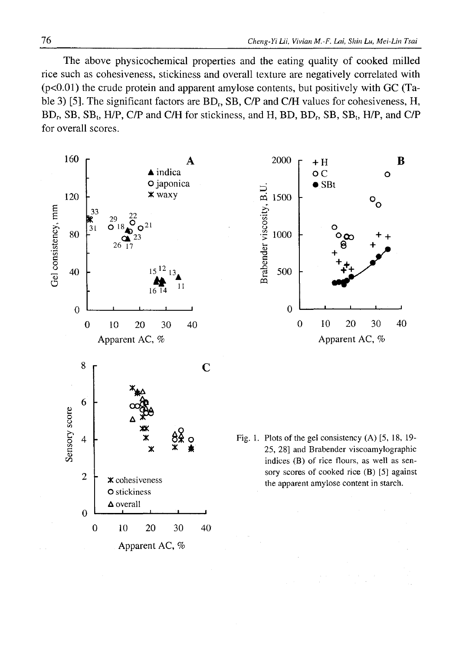The above physicochemical properties and the eating quality of cooked milled rice such as cohesiveness, stickiness and overall texture are negatively correlated with  $(p<0.01)$  the crude protein and apparent amylose contents, but positively with GC (Table 3) [5]. The significant factors are  $BD_r$ , SB, C/P and C/H values for cohesiveness, H,  $BD<sub>r</sub>$ , SB, SB<sub>t</sub>, H/P, C/P and C/H for stickiness, and H, BD, BD<sub>r</sub>, SB, SB<sub>t</sub>, H/P, and C/P for overall scores.

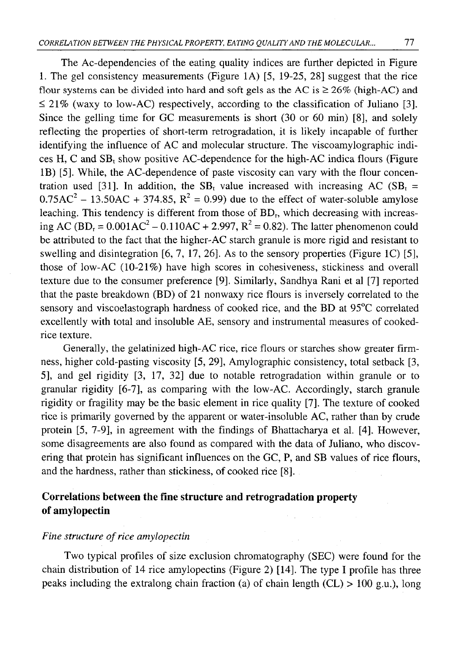The Ac-dependencies of the eating quality indices are further depicted in Figure 1. The gel consistency measurements (Figure 1A) [5, 19-25, 28] suggest that the rice flour systems can be divided into hard and soft gels as the AC is  $\geq$  26% (high-AC) and  $\leq$  21% (waxy to low-AC) respectively, according to the classification of Juliano [3]. Since the gelling time for GC measurements is short  $(30 \text{ or } 60 \text{ min})$  [8], and solely reflecting the properties of short-term retrogradation, it is likely incapable of further identifying the influence of AC and molecular structure. The viscoamylographic indices H, C and  $SB<sub>t</sub>$  show positive AC-dependence for the high-AC indica flours (Figure IB) [5]. While, the AC-dependence of paste viscosity can vary with the flour concentration used [31]. In addition, the  $SB_t$  value increased with increasing AC ( $SB_t$  =  $0.75AC<sup>2</sup> - 13.50AC + 374.85$ ,  $R<sup>2</sup> = 0.99$ ) due to the effect of water-soluble amylose leaching. This tendency is different from those of  $BD<sub>r</sub>$ , which decreasing with increasing AC (BD<sub>r</sub> =  $0.001AC^2 - 0.110AC + 2.997$ , R<sup>2</sup> = 0.82). The latter phenomenon could be attributed to the fact that the higher-AC starch granule is more rigid and resistant to swelling and disintegration  $[6, 7, 17, 26]$ . As to the sensory properties (Figure 1C)  $[5]$ , those of low-AC (10-21%) have high scores in cohesiveness, stickiness and overall texture due to the consumer preference [9]. Similarly, Sandhya Rani et al [7] reported that the paste breakdown (BD) of 21 nonwaxy rice flours is inversely correlated to the sensory and viscoelastograph hardness of cooked rice, and the BD at 95°C correlated excellently with total and insoluble AE, sensory and instrumental measures of cookedrice texture.

Generally, the gelatinized high-AC rice, rice flours or starches show greater firmness, higher cold-pasting viscosity [5, 29], Amylographic consistency, total setback [3, 5], and gel rigidity [3, 17, 32] due to notable retrogradation within granule or to granular rigidity [6-7], as comparing with the low-AC. Accordingly, starch granule rigidity or fragility may be the basic element in rice quality [7]. The texture of cooked rice is primarily governed by the apparent or water-insoluble AC, rather than by crude protein [5, 7-9], in agreement with the findings of Bhattacharya et al. [4]. However, some disagreements are also found as compared with the data of Juliano, who discovering that protein has significant influences on the GC, P, and SB values of rice flours, and the hardness, rather than stickiness, of cooked rice [8].

## **Correlations between the fine structure and retrogradation property of amylopectin**

### *Fine structure of rice amylopectin*

Two typical profiles of size exclusion chromatography (SEC) were found for the chain distribution of 14 rice amylopectins (Figure 2) [14]. The type I profile has three peaks including the extralong chain fraction (a) of chain length  $(CL) > 100$  g.u.), long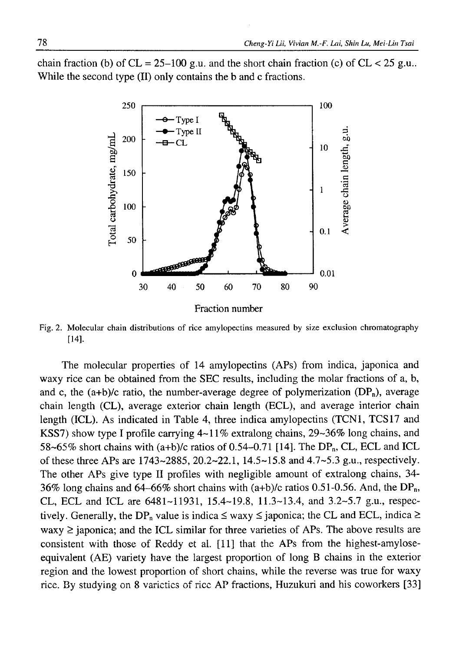chain fraction (b) of  $CL = 25-100$  g.u. and the short chain fraction (c) of  $CL < 25$  g.u. While the second type (II) only contains the b and c fractions.



Fig. 2. Molecular chain distributions of rice amylopectins measured by size exclusion chromatography [14].

The molecular properties of 14 amylopectins (APs) from indica, japonica and waxy rice can be obtained from the SEC results, including the molar fractions of a, b, and c, the  $(a+b)/c$  ratio, the number-average degree of polymerization  $(DP_n)$ , average chain length (CL), average exterior chain length (ECL), and average interior chain length (ICL). As indicated in Table 4, three indica amylopectins (TCN1, TCS17 and KSS7) show type I profile carrying 4-11% extralong chains, 29-36% long chains, and 58~65% short chains with  $(a+b)/c$  ratios of 0.54–0.71 [14]. The DP<sub>n</sub>, CL, ECL and ICL of these three APs are 1743-2885, 20.2-22.1, 14.5-15.8 and 4.7-5.3 g.u., respectively. The other APs give type II profiles with negligible amount of extralong chains, 34- 36% long chains and 64-66% short chains with  $(a+b)/c$  ratios 0.51-0.56. And, the DP<sub>n</sub>, CL, ECL and ICL are 6481-11931, 15.4-19.8, 11.3-13.4, and 3.2-5.7 g.u., respectively. Generally, the DP<sub>n</sub> value is indica  $\leq$  waxy  $\leq$  japonica; the CL and ECL, indica  $\geq$  $waxy \geq$  japonica; and the ICL similar for three varieties of APs. The above results are consistent with those of Reddy et al. [11] that the APs from the highest-amyloseequivalent (AE) variety have the largest proportion of long B chains in the exterior region and the lowest proportion of short chains, while the reverse was true for waxy rice. By studying on 8 varieties of ncc AP fractions, Huzukuri and his coworkers [33]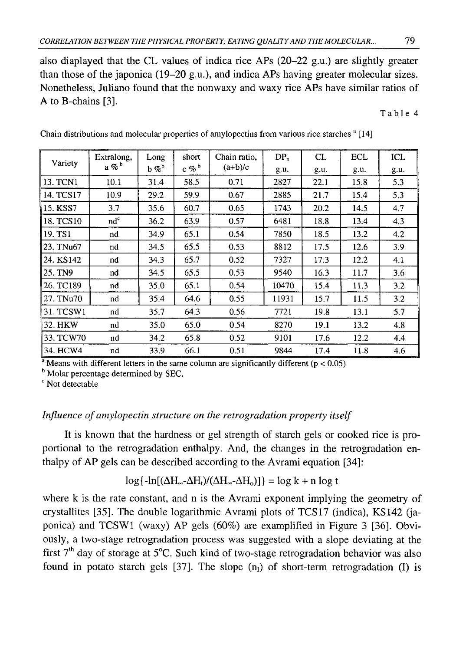also diaplayed that the CL values of indica rice APs (20-22 g.u.) are slightly greater than those of the japonica (19-20 g.u.), and indica APs having greater molecular sizes. Nonetheless, Juliano found that the nonwaxy and waxy rice APs have similar ratios of A to B-chains [3].

Table 4

| Variety    | Extralong, | Long   | short          | Chain ratio, | $DP_n$ | CL   | <b>ECL</b> | ICL  |
|------------|------------|--------|----------------|--------------|--------|------|------------|------|
|            | $a \n%$    | $b \%$ | c % $^{\rm b}$ | $(a+b)/c$    | g.u.   | g.u. | g.u.       | g.u. |
| 13. TCN1   | 10.1       | 31.4   | 58.5           | 0.71         | 2827   | 22.1 | 15.8       | 5.3  |
| 14. TCS17  | 10.9       | 29.2   | 59.9           | 0.67         | 2885   | 21.7 | 15.4       | 5.3  |
| 15. KSS7   | 3.7        | 35.6   | 60.7           | 0.65         | 1743   | 20.2 | 14.5       | 4.7  |
| 18. TCS10  | $nd^c$     | 36.2   | 63.9           | 0.57         | 6481   | 18.8 | 13.4       | 4.3  |
| 19. TS1    | nd         | 34.9   | 65.1           | 0.54         | 7850   | 18.5 | 13.2       | 4.2  |
| 123. TNu67 | nd         | 34.5   | 65.5           | 0.53         | 8812   | 17.5 | 12.6       | 3.9  |
| 24. KS142  | nd         | 34.3   | 65.7           | 0.52         | 7327   | 17.3 | 12.2       | 4.1  |
| 25. TN9    | nd         | 34.5   | 65.5           | 0.53         | 9540   | 16.3 | 11.7       | 3.6  |
| 26. TC189  | nd         | 35.0   | 65.1           | 0.54         | 10470  | 15.4 | 11.3       | 3.2  |
| 27. TNu70  | nd         | 35.4   | 64.6           | 0.55         | 11931  | 15.7 | 11.5       | 3.2  |
| 31. TCSW1  | nd         | 35.7   | 64.3           | 0.56         | 7721   | 19.8 | 13.1       | 5.7  |
| 32. HKW    | nd         | 35.0   | 65.0           | 0.54         | 8270   | 19.1 | 13.2       | 4.8  |
| 33. TCW70  | nd         | 34.2   | 65.8           | 0.52         | 9101   | 17.6 | 12.2       | 4.4  |
| 34. HCW4   | nd         | 33.9   | 66.1           | 0.51         | 9844   | 17.4 | 11.8       | 4.6  |

Chain distributions and molecular properties of amylopectins from various rice starches  $a$  [14]

<sup>a</sup> Means with different letters in the same column are significantly different ( $p < 0.05$ )

<sup>b</sup> Molar percentage determined by SEC.

<sup>c</sup> Not detectable

### *Influence of amylopectin structure on the retrogradation property itself*

It is known that the hardness or gel strength of starch gels or cooked rice is proportional to the retrogradation enthalpy. And, the changes in the retrogradation enthalpy of AP gels can be described according to the Avrami equation [34]:

# $\log\{-\ln[(\Delta H_{\infty}-\Delta H_{t})/(\Delta H_{\infty}-\Delta H_{0})]\} = \log k + n \log t$

where k is the rate constant, and n is the Avrami exponent implying the geometry of crystallites [35]. The double logarithmic Avrami plots of TCS17 (indica), KS142 (japonica) and TCSW1 (waxy) AP gels (60%) are examplified in Figure 3 [36]. Obviously, a two-stage retrogradation process was suggested with a slope deviating at the first  $7<sup>th</sup>$  day of storage at  $5<sup>o</sup>C$ . Such kind of two-stage retrogradation behavior was also found in potato starch gels [37]. The slope  $(n_1)$  of short-term retrogradation (I) is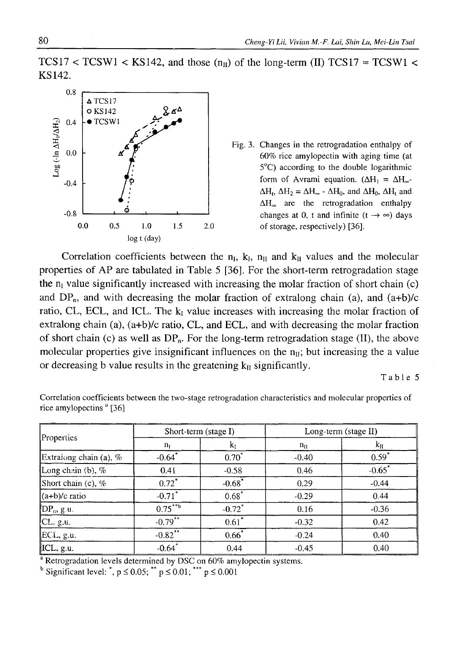TCS17 < TCSW1 < KS142, and those  $(n_{II})$  of the long-term (II) TCS17  $\approx$  TCSW1 < KS142.



Fig. 3. Changes in the retrogradation enthalpy of 60% rice amylopectin with aging time (at 5°C) according to the double logarithmic form of Avrami equation. ( $\Delta H_1 = \Delta H_{\infty}$ - $\Delta H_1$ ,  $\Delta H_2 = \Delta H_{\infty}$  -  $\Delta H_0$ , and  $\Delta H_0$ ,  $\Delta H_1$  and  $\Delta H_{\infty}$  are the retrogradation enthalpy changes at 0, t and infinite  $(t \rightarrow \infty)$  days

Correlation coefficients between the  $n_i$ ,  $k_i$ ,  $n_{\text{II}}$  and  $k_{\text{II}}$  values and the molecular properties of AP are tabulated in Table 5 [36]. For the short-term retrogradation stage the  $n<sub>l</sub>$  value significantly increased with increasing the molar fraction of short chain (c) and  $DP_n$ , and with decreasing the molar fraction of extralong chain (a), and  $(a+b)/c$ ratio, CL, ECL, and ICL. The  $k_1$  value increases with increasing the molar fraction of extralong chain (a), (a+b)/c ratio, CL, and ECL, and with decreasing the molar fraction of short chain (c) as well as  $DP_n$ . For the long-term retrogradation stage (II), the above molecular properties give insignificant influences on the  $n_{\text{II}}$ ; but increasing the a value or decreasing b value results in the greatening  $k<sub>II</sub>$  significantly.

Table 5

| Correlation coefficients between the two-stage retrogradation characteristics and molecular properties of |  |  |  |
|-----------------------------------------------------------------------------------------------------------|--|--|--|
| rice amylopectins <sup>a</sup> [36]                                                                       |  |  |  |

| Properties               | Short-term (stage I) |                      | Long-term (stage II) |                      |  |  |
|--------------------------|----------------------|----------------------|----------------------|----------------------|--|--|
|                          | $n_I$                | $k_1$                | $n_{\rm H}$          | $k_{\rm H}$          |  |  |
| Extraiong chain (a), $%$ | $-0.64$ <sup>*</sup> | $0.70^*$             | $-0.40$              | $0.59*$              |  |  |
| Long chain (b), %        | 0.41                 | $-0.58$              | 0.46                 | $-0.65$ <sup>*</sup> |  |  |
| Short chain (c), $\%$    | $0.72^*$             | $-0.68$ <sup>*</sup> | 0.29                 | $-0.44$              |  |  |
| $(a+b)/c$ ratio          | $-0.71$ <sup>*</sup> | $0.68*$              | $-0.29$              | 0.44                 |  |  |
| $DP_n$ , g.u.            | $0.75***$            | $-0.72$ <sup>*</sup> | 0.16                 | $-0.36$              |  |  |
| CL, g.u.                 | $-0.79$ **           | $0.61*$              | $-0.32$              | 0.42                 |  |  |
| ECL, g.u.                | $-0.82$ **           | $0.66*$              | $-0.24$              | 0.40                 |  |  |
| ICL, g.u.                | $-0.64$ <sup>*</sup> | 0.44                 | $-0.45$              | 0.40                 |  |  |

<sup>a</sup> Retrogradation levels determined by DSC on 60% amylopectin systems.

<sup>b</sup> Significant level: \*,  $p \le 0.05$ ; \*\*  $p \le 0.01$ ; \*\*\*  $p \le 0.001$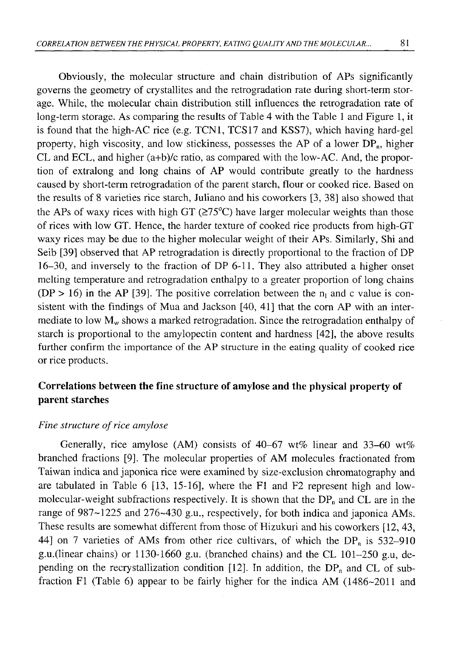Obviously, the molecular structure and chain distribution of APs significantly governs the geometry of crystallites and the retrogradation rate during short-term storage. While, the molecular chain distribution still influences the retrogradation rate of long-term storage. As comparing the results of Table 4 with the Table 1 and Figure 1, it is found that the high-AC rice (e.g. TCN1, TCS17 and KSS7), which having hard-gel property, high viscosity, and low stickiness, possesses the AP of a lower  $DP_n$ , higher CL and ECL, and higher (a+b)/c ratio, as compared with the low-AC. And, the proportion of extralong and long chains of AP would contribute greatly to the hardness caused by short-term retrogradation of the parent starch, flour or cooked rice. Based on the results of 8 varieties rice starch, Juliano and his coworkers [3, 38] also showed that the APs of waxy rices with high GT ( $\geq 75^{\circ}$ C) have larger molecular weights than those of rices with low GT. Hence, the harder texture of cooked rice products from high-GT waxy rices may be due to the higher molecular weight of their APs. Similarly, Shi and Seib [39] observed that AP retrogradation is directly proportional to the fraction of DP 16-30, and inversely to the fraction of DP 6-11. They also attributed a higher onset melting temperature and retrogradation enthalpy to a greater proportion of long chains (DP > 16) in the AP [39]. The positive correlation between the  $n_1$  and c value is consistent with the findings of Mua and Jackson [40, 41] that the corn AP with an intermediate to low  $M_w$  shows a marked retrogradation. Since the retrogradation enthalpy of starch is proportional to the amylopectin content and hardness [42], the above results further confirm the importance of the AP structure in the eating quality of cooked rice or rice products.

# **Correlations between the fine structure of amylose and the physical property of parent starches**

### *Fine structure of rice amylose*

Generally, rice amylose (AM) consists of 40-67 wt% linear and 33-60 wt% branched fractions [9]. The molecular properties of AM molecules fractionated from Taiwan indica and japonica rice were examined by size-exclusion chromatography and are tabulated in Table 6 [13, 15-16], where the FI and F2 represent high and lowmolecular-weight subfractions respectively. It is shown that the  $DP_n$  and CL are in the range of 987-1225 and 276-430 g.u., respectively, for both indica and japonica AMs. These results are somewhat different from those of Hizukuri and his coworkers [12, 43, 44] on 7 varieties of AMs from other rice cultivars, of which the  $DP_n$  is 532–910 g.u.(linear chains) or 1130-1660 g.u. (branched chains) and the CL 101-250 g.u, depending on the recrystallization condition [12]. In addition, the  $DP_n$  and CL of subfraction F1 (Table 6) appear to be fairly higher for the indica AM  $(1486-2011)$  and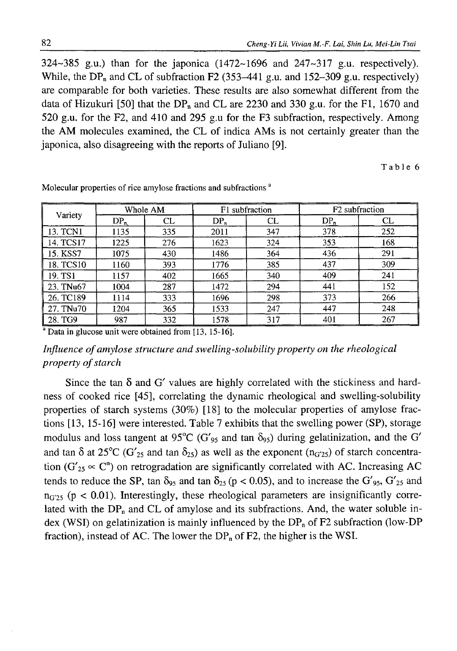$324 \sim 385$  g.u.) than for the japonica  $(1472 \sim 1696)$  and  $247 \sim 317$  g.u. respectively). While, the DP<sub>n</sub> and CL of subfraction F2 (353–441 g.u. and 152–309 g.u. respectively) are comparable for both varieties. These results are also somewhat different from the data of Hizukuri [50] that the  $DP_n$  and CL are 2230 and 330 g.u. for the F1, 1670 and 520 g.u. for the F2, and 410 and 295 g.u for the F3 subfraction, respectively. Among the AM molecules examined, the CL of indica AMs is not certainly greater than the japonica, also disagreeing with the reports of Juliano [9].

Table 6

| Variety   | Whole AM |     |        | F1 subfraction | F <sub>2</sub> subfraction |     |  |
|-----------|----------|-----|--------|----------------|----------------------------|-----|--|
|           | $DP_{n}$ | CL  | $DP_n$ | CL             | $DP_n$                     | CL  |  |
| 13. TCN1  | 1135     | 335 | 2011   | 347            | 378                        | 252 |  |
| 14. TCS17 | 1225     | 276 | 1623   | 324            | 353                        | 168 |  |
| 15. KSS7  | 1075     | 430 | 1486   | 364            | 436                        | 291 |  |
| 18. TCS10 | 1160     | 393 | 1776   | 385            | 437                        | 309 |  |
| 19. TS1   | 1157     | 402 | 1665   | 340            | 409                        | 241 |  |
| 23. TNu67 | 1004     | 287 | 1472   | 294            | 441                        | 152 |  |
| 26. TC189 | 1114     | 333 | 1696   | 298            | 373                        | 266 |  |
| 27. TNu70 | 1204     | 365 | 1533   | 247            | 447                        | 248 |  |
| 28. TG9   | 987      | 332 | 1578   | 317            | 401                        | 267 |  |

Molecular properties of rice amylose fractions and subfractions<sup>a</sup>

<sup>a</sup> Data in glucose unit were obtained from [13, 15-16].

## *Influence of amylose structure and swelling-solubility property on the rheological property of starch*

Since the tan  $\delta$  and  $G'$  values are highly correlated with the stickiness and hardness of cooked rice [45], correlating the dynamic rheological and swelling-solubility properties of starch systems (30%) [18] to the molecular properties of amylose fractions [13, 15-16] were interested. Table 7 exhibits that the swelling power (SP), storage modulus and loss tangent at 95°C (G'<sub>95</sub> and tan  $\delta_{95}$ ) during gelatinization, and the G' and tan  $\delta$  at 25°C (G'<sub>25</sub> and tan  $\delta_{25}$ ) as well as the exponent (n<sub>G'25</sub>) of starch concentration ( $G'_{25} \propto C^{n}$ ) on retrogradation are significantly correlated with AC. Increasing AC tends to reduce the SP, tan  $\delta_{95}$  and tan  $\delta_{25}$  (p < 0.05), and to increase the G'<sub>95</sub>, G'<sub>25</sub> and  $n_{G<sub>25</sub>}$  (p < 0.01). Interestingly, these rheological parameters are insignificantly correlated with the  $DP_n$  and CL of amylose and its subfractions. And, the water soluble index (WSI) on gelatinization is mainly influenced by the  $DP_n$  of F2 subfraction (low-DP fraction), instead of AC. The lower the  $DP_n$  of F2, the higher is the WSI.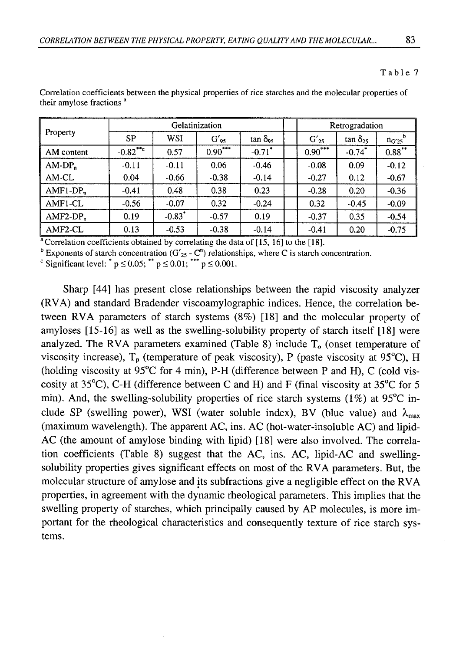### Table 7

|            |            | Gelatinization       |                    | Retrogradation         |           |                      |                       |
|------------|------------|----------------------|--------------------|------------------------|-----------|----------------------|-----------------------|
| Property   | <b>SP</b>  | WSI                  | $G'$ <sub>95</sub> | $\tan \delta_{\rm q5}$ | $G'_{25}$ | $\tan \delta_{25}$   | $n_{G'25}^{\qquad b}$ |
| AM content | $-0.82***$ | 0.57                 | $0.90***$          | $-0.71$ <sup>*</sup>   | $0.90***$ | $-0.74$ <sup>*</sup> | $0.88***$             |
| $AM-DPn$   | $-0.11$    | $-0.11$              | 0.06               | $-0.46$                | $-0.08$   | 0.09                 | $-0.12$               |
| AM-CL      | 0.04       | $-0.66$              | $-0.38$            | $-0.14$                | $-0.27$   | 0.12                 | $-0.67$               |
| $AMF1-DPn$ | $-0.41$    | 0.48                 | 0.38               | 0.23                   | $-0.28$   | 0.20                 | $-0.36$               |
| AMF1-CL    | $-0.56$    | $-0.07$              | 0.32               | $-0.24$                | 0.32      | $-0.45$              | $-0.09$               |
| $AMF2-DPn$ | 0.19       | $-0.83$ <sup>*</sup> | $-0.57$            | 0.19                   | $-0.37$   | 0.35                 | $-0.54$               |
| AMF2-CL    | 0.13       | $-0.53$              | $-0.38$            | $-0.14$                | $-0.41$   | 0.20                 | $-0.75$               |

Correlation coefficients between the physical properties of rice starches and the molecular properties of their amylose fractions<sup>a</sup>

<sup>a</sup> Correlation coefficients obtained by correlating the data of [15, 16] to the [18].

<sup>b</sup> Exponents of starch concentration (G'<sub>25</sub> - C<sup>n</sup>) relationships, where C is starch concentration.

Significant level:  $^{*}$  p  $\leq$  0.05;  $^{**}$  p  $\leq$  0.01;  $^{***}$  p  $\leq$  0.001.

Sharp [44] has present close relationships between the rapid viscosity analyzer (RVA) and standard Bradender viscoamylographic indices. Hence, the correlation between RVA parameters of starch systems (8%) [18] and the molecular property of amyloses [15-16] as well as the swelling-solubility property of starch itself [18] were analyzed. The RVA parameters examined (Table 8) include  $T<sub>o</sub>$  (onset temperature of viscosity increase),  $T_p$  (temperature of peak viscosity), P (paste viscosity at 95 $^{\circ}$ C), H (holding viscosity at 95°C for 4 min), P-H (difference between P and H), C (cold viscosity at 35 $^{\circ}$ C), C-H (difference between C and H) and F (final viscosity at 35 $^{\circ}$ C for 5 min). And, the swelling-solubility properties of rice starch systems (1%) at 95 $\degree$ C include SP (swelling power), WSI (water soluble index), BV (blue value) and  $\lambda_{\text{max}}$ (maximum wavelength). The apparent AC, ins. AC (hot-water-insoluble AC) and lipid-AC (the amount of amylose binding with lipid) [18] were also involved. The correlation coefficients (Table 8) suggest that the  $AC$ , ins.  $AC$ , lipid- $AC$  and swellingsolubility properties gives significant effects on most of the RVA parameters. But, the molecular structure of amylose and its subfractions give a negligible effect on the RVA properties, in agreement with the dynamic rheological parameters. This implies that the swelling property of starches, which principally caused by AP molecules, is more important for the rheological characteristics and consequently texture of rice starch systems.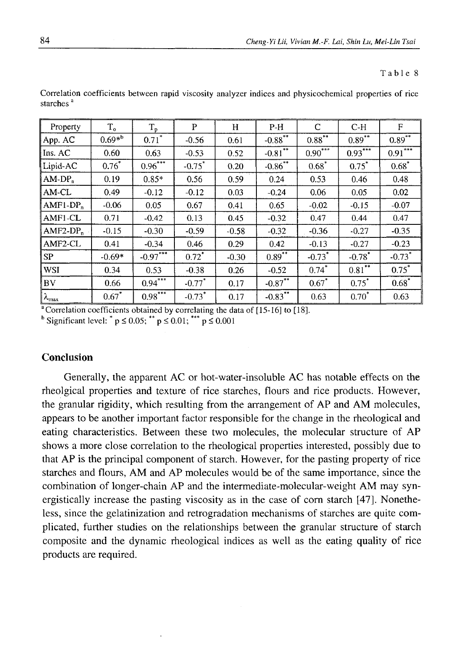#### Table 8

| Property               | $T_{o}$     | $T_p$      | P                    | H       | $P-H$                 | C                    | $C-H$                | F                     |
|------------------------|-------------|------------|----------------------|---------|-----------------------|----------------------|----------------------|-----------------------|
| App. AC                | $0.69*^{b}$ | $0.71^*$   | $-0.56$              | 0.61    | $-0.88$ <sup>**</sup> | $0.88***$            | $0.89***$            | $0.89^{**}$           |
| $\ln S$ . AC           | 0.60        | 0.63       | $-0.53$              | 0.52    | $-0.81$ <sup>**</sup> | $0.90***$            | $0.93***$            | $0.91$ <sup>***</sup> |
| Lipid-AC               | $0.76*$     | $0.96***$  | $-0.75$ *            | 0.20    | $-0.86$ **            | $0.68*$              | $0.75*$              | $0.68*$               |
| AM-DP <sub>n</sub>     | 0.19        | $0.85*$    | 0.56                 | 0.59    | 0.24                  | 0.53                 | 0.46                 | 0.48                  |
| AM-CL                  | 0.49        | $-0.12$    | $-0.12$              | 0.03    | $-0.24$               | 0.06                 | 0.05                 | 0.02                  |
| $AMF1-DPn$             | $-0.06$     | 0.05       | 0.67                 | 0.41    | 0.65                  | $-0.02$              | $-0.15$              | $-0.07$               |
| AMF1-CL                | 0.71        | $-0.42$    | 0.13                 | 0.45    | $-0.32$               | 0.47                 | 0.44                 | 0.47                  |
| $AMF2-DPn$             | $-0.15$     | $-0.30$    | $-0.59$              | $-0.58$ | $-0.32$               | $-0.36$              | $-0.27$              | $-0.35$               |
| AMF2-CL                | 0.41        | $-0.34$    | 0.46                 | 0.29    | 0.42                  | $-0.13$              | $-0.27$              | $-0.23$               |
| <b>SP</b>              | $-0.69*$    | $-0.97***$ | $0.72^*$             | $-0.30$ | $0.89***$             | $-0.73$ <sup>*</sup> | $-0.78$ <sup>*</sup> | $-0.73$ <sup>*</sup>  |
| WSI                    | 0.34        | 0.53       | $-0.38$              | 0.26    | $-0.52$               | $0.74$ *             | $0.81***$            | $0.75^*$              |
| <b>BV</b>              | 0.66        | $0.94***$  | $-0.77$ <sup>*</sup> | 0.17    | $-0.87***$            | $0.67*$              | $0.75^*$             | $0.68^*$              |
| $\lambda_{\text{max}}$ | $0.67*$     | $0.98***$  | $-0.73$ <sup>*</sup> | 0.17    | $-0.83***$            | 0.63                 | $0.70^*$             | 0.63                  |

Correlation coefficients between rapid viscosity analyzer indices and physicochemical properties of rice starches<sup>a</sup>

<sup>a</sup> Correlation coefficients obtained by correlating the data of [15-16] to [18].

<sup>b</sup> Significant level:  $^*$  p  $\leq$  0.05;  $^{**}$  p  $\leq$  0.01;  $^{***}$  p  $\leq$  0.001

### **Conclusion**

Generally, the apparent AC or hot-water-insoluble AC has notable effects on the rheolgical properties and texture of rice starches, flours and rice products. However, the granular rigidity, which resulting from the arrangement of AP and AM molecules, appears to be another important factor responsible for the change in the rheological and eating characteristics. Between these two molecules, the molecular structure of AP shows a more close correlation to the rheological properties interested, possibly due to that AP is the principal component of starch. However, for the pasting property of rice starches and flours, AM and AP molecules would be of the same importance, since the combination of longer-chain AP and the intermediate-molecular-weight AM may synergistically increase the pasting viscosity as in the case of com starch [47]. Nonetheless, since the gelatinization and retrogradation mechanisms of starches are quite complicated, further studies on the relationships between the granular structure of starch composite and the dynamic rheological indices as well as the eating quality of rice products are required.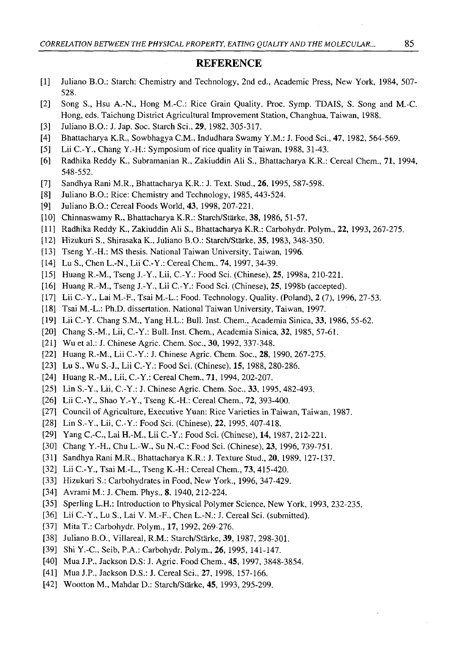#### **REFERENCE**

- [1] Juliano B.O.: Starch: Chemistry and Technology, 2nd ed., Academic Press, New York, 1984, 507- 528.
- [2] Song S., Hsu A.-N., Hong M.-C.: Rice Grain Quality. Proc. Symp. TDAIS, S. Song and M.-C. Hong, eds. Taichung District Agricultural Improvement Station, Changhua, Taiwan, 1988.
- [3] Juliano B.O.: J. Jap. Soc. Starch Sci., 29, 1982, 305-317.
- [4] Bhattacharya K.R., Sowbhagya C.M., Indudhara Swamy Y.M.: J. Food Sci., 47, 1982, 564-569.
- [5] Lii C.-Y., Chang Y.-H.: Symposium of rice quality in Taiwan, 1988, 31-43.
- [6] Radhika Reddy K., Subramanian R., Zakiuddin Ali S., Bhattacharya K.R.: Cereal Chem., 71, 1994, 548-552.
- [7] Sandhya Rani M.R., Bhattacharya K.R.: J. Text. Stud., 26, 1995, 587-598.
- [8] Juliano B.O.: Rice: Chemistry and Technology, 1985, 443-524.
- [9] Juliano B.O.: Cereal Foods World, 43, 1998, 207-221.
- [10] Chinnaswamy R., Bhattacharya K.R.: Starch/Stärke, 38, 1986, 51-57.
- [11] Radhika Reddy K., Zakiuddin Ali S., Bhattacharya K.R.: Carbohydr. Polym., **22,** 1993, 267-275.
- [12] Hizukuri S., Shirasaka K., Juliano B.O.: Starch/Stärke, 35, 1983, 348-350.
- [13] Tseng Y.-H.: MS thesis. National Taiwan University, Taiwan, 1996.
- [14] Lu S., Chen L.-N., Lii C.-Y.: Cereal Chem., 74, 1997, 34-39.
- [15] Huang R.-M., Tseng J.-Y., Lii, C.-Y.: Food Sci. (Chinese), 25, 1998a, 210-221.
- [16] Huang R.-M., Tseng J.-Y., Lii C.-Y.: Food Sci. (Chinese), 25, 1998b (accepted).
- [17] Lii C.-Y., Lai M.-F., Tsai M.-L.: Food. Technology. Quality. (Poland), 2 (7), 1996, 27-53.
- [18] Tsai M.-L.: Ph.D. dissertation. National Taiwan University, Taiwan, 1997.
- [19] Lii C.-Y. Chang S.M., Yang H.L.: Bull. Inst. Chem., Academia Sinica, 33, 1986, 55-62.
- [20] Chang S.-M., Lii, C.-Y.: Bull. Inst. Chem., Academia Sinica, 32, 1985, 57-61.
- [21] Wu et al.: J. Chinese Agric. Chem. Soc., **30,** 1992, 337-348.
- [22] Huang R.-M., Lii C.-Y.: J. Chinese Agric. Chem. Soc., 28, 1990, 267-275.
- [23] Lu S., Wu S.-J., Lii C.-Y.: Food Sci. (Chinese), 15, 1988, 280-286.
- [24] Huang R.-M., Lii, C.-Y.: Cereal Chem., 71, 1994, 202-207.
- [25] Lin S.-Y., Lii, C.-Y.: J. Chinese Agric. Chem. Soc., **33,** 1995, 482-493.
- [26] Lii C.-Y., Shao Y.-Y., Tseng K.-H.: Cereal Chem., 72, 393-400.
- [27] Council of Agriculture, Executive Yuan: Rice Varieties in Taiwan, Taiwan, 1987.
- [28] Lin S.-Y., Lii, C.-Y.: Food Sci. (Chinese), **22,** 1995, 407-418.
- [29] Yang C.-C., Lai H.-M., Lii C.-Y.: Food Sci. (Chinese), 14, 1987, 212-221.
- [30] Chang Y.-H., Chu L.-W., Su N.-C.: Food Sci. (Chinese), 23, 1996, 739-751.
- [31] Sandhya Rani M.R., Bhattacharya K.R.: J. Texture Stud., 20, 1989, 127-137.
- [32] Lii C.-Y., Tsai M.-L., Tseng K.-H.: Cereal Chem., 73, 415-420.
- [33] Hizukuri S.: Carbohydrates in Food, New York., 1996, 347-429.
- [34] Avrami M.: J. Chem. Phys., 8, 1940, 212-224.
- [35] Sperling L.H.: Introduction to Physical Polymer Science, New York, 1993, 232-235.
- [36] Lii C.-Y., Lu S., Lai V. M.-F., Chen L.-N.: J. Cereal Sci. (submitted).
- [37] MitaT.: Carbohydr. Polym., 17, 1992, 269-276.
- [38] Juliano B.O., Villareal, R.M.: Starch/Stärke, 39, 1987, 298-301.
- [39] Shi Y.-C., Seib, P.A.: Carbohydr. Polym., 26, 1995, 141-147.
- [40] Mua J.P., Jackson D.S: J. Agric. Food Chem., 45, 1997, 3848-3854.
- [41] Mua J.P., Jackson D.S.: J. Cereal Sci., 27, 1998, 157-166.
- [42] Wootton M., Mahdar D.: Starch/Stärke, 45, 1993, 295-299.